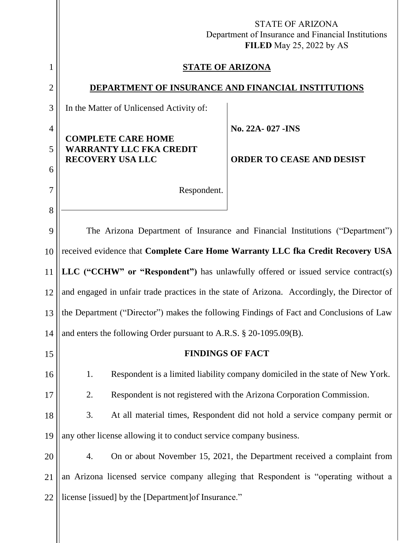|                     | <b>STATE OF ARIZONA</b><br>Department of Insurance and Financial Institutions<br>FILED May 25, 2022 by AS |  |  |
|---------------------|-----------------------------------------------------------------------------------------------------------|--|--|
| 1                   | <b>STATE OF ARIZONA</b>                                                                                   |  |  |
| $\overline{2}$      | DEPARTMENT OF INSURANCE AND FINANCIAL INSTITUTIONS                                                        |  |  |
| 3                   | In the Matter of Unlicensed Activity of:                                                                  |  |  |
| $\overline{4}$<br>5 | No. 22A-027 - INS<br><b>COMPLETE CARE HOME</b><br><b>WARRANTY LLC FKA CREDIT</b>                          |  |  |
|                     | <b>RECOVERY USA LLC</b><br><b>ORDER TO CEASE AND DESIST</b>                                               |  |  |
| 6<br>7              | Respondent.                                                                                               |  |  |
| 8                   |                                                                                                           |  |  |
| 9                   | The Arizona Department of Insurance and Financial Institutions ("Department")                             |  |  |
| 10                  | received evidence that Complete Care Home Warranty LLC fka Credit Recovery USA                            |  |  |
| 11                  | LLC ("CCHW" or "Respondent") has unlawfully offered or issued service contract(s)                         |  |  |
| 12                  | and engaged in unfair trade practices in the state of Arizona. Accordingly, the Director of               |  |  |
| 13                  | the Department ("Director") makes the following Findings of Fact and Conclusions of Law                   |  |  |
| 14                  | and enters the following Order pursuant to A.R.S. § 20-1095.09(B).                                        |  |  |
| 15                  | <b>FINDINGS OF FACT</b>                                                                                   |  |  |
| 16                  | Respondent is a limited liability company domiciled in the state of New York.<br>1.                       |  |  |
| 17                  | 2.<br>Respondent is not registered with the Arizona Corporation Commission.                               |  |  |
| 18                  | 3.<br>At all material times, Respondent did not hold a service company permit or                          |  |  |
| 19                  | any other license allowing it to conduct service company business.                                        |  |  |
| 20                  | On or about November 15, 2021, the Department received a complaint from<br>4.                             |  |  |
| 21                  | an Arizona licensed service company alleging that Respondent is "operating without a                      |  |  |
| 22                  | license [issued] by the [Department] of Insurance."                                                       |  |  |
|                     |                                                                                                           |  |  |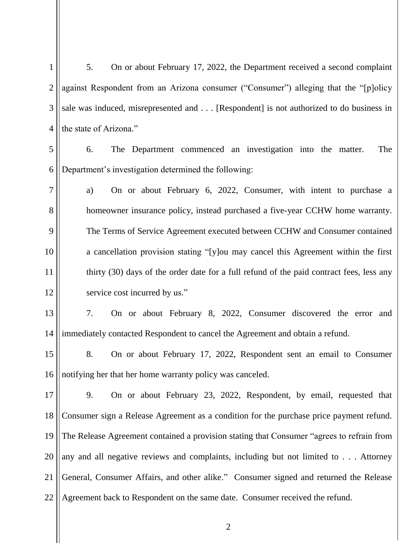| $\mathbf{1}$   | 5.<br>On or about February 17, 2022, the Department received a second complaint           |
|----------------|-------------------------------------------------------------------------------------------|
| $\overline{2}$ | against Respondent from an Arizona consumer ("Consumer") alleging that the "[p]olicy      |
| 3              | sale was induced, misrepresented and [Respondent] is not authorized to do business in     |
| $\overline{4}$ | the state of Arizona."                                                                    |
| 5              | The Department commenced an investigation into the matter.<br>The<br>6.                   |
| 6              | Department's investigation determined the following:                                      |
| $\tau$         | On or about February 6, 2022, Consumer, with intent to purchase a<br>a)                   |
| 8              | homeowner insurance policy, instead purchased a five-year CCHW home warranty.             |
| 9              | The Terms of Service Agreement executed between CCHW and Consumer contained               |
| 10             | a cancellation provision stating "[y]ou may cancel this Agreement within the first        |
| 11             | thirty (30) days of the order date for a full refund of the paid contract fees, less any  |
| 12             | service cost incurred by us."                                                             |
| 13             | 7.<br>On or about February 8, 2022, Consumer discovered the error and                     |
| 14             | immediately contacted Respondent to cancel the Agreement and obtain a refund.             |
| 15             | 8.<br>On or about February 17, 2022, Respondent sent an email to Consumer                 |
| 16             | notifying her that her home warranty policy was canceled.                                 |
| 17             | 9.<br>On or about February 23, 2022, Respondent, by email, requested that                 |
| 18             | Consumer sign a Release Agreement as a condition for the purchase price payment refund.   |
| 19             | The Release Agreement contained a provision stating that Consumer "agrees to refrain from |
| 20             | any and all negative reviews and complaints, including but not limited to Attorney        |
| 21             | General, Consumer Affairs, and other alike." Consumer signed and returned the Release     |
| 22             | Agreement back to Respondent on the same date. Consumer received the refund.              |
|                |                                                                                           |

2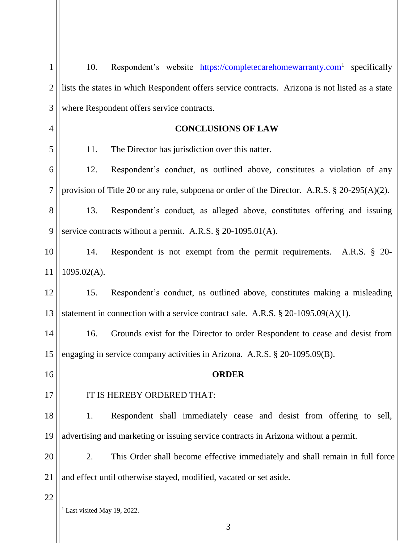| $\mathbf{1}$   | 10.                        | Respondent's website https://completecarehomewarranty.com <sup>1</sup> specifically             |
|----------------|----------------------------|-------------------------------------------------------------------------------------------------|
| $\overline{2}$ |                            | lists the states in which Respondent offers service contracts. Arizona is not listed as a state |
| 3              |                            | where Respondent offers service contracts.                                                      |
| $\overline{4}$ |                            | <b>CONCLUSIONS OF LAW</b>                                                                       |
| 5              | 11.                        | The Director has jurisdiction over this natter.                                                 |
| 6              | 12.                        | Respondent's conduct, as outlined above, constitutes a violation of any                         |
| 7              |                            | provision of Title 20 or any rule, subpoena or order of the Director. A.R.S. § 20-295(A)(2).    |
| 8              | 13.                        | Respondent's conduct, as alleged above, constitutes offering and issuing                        |
| 9              |                            | service contracts without a permit. A.R.S. $\S$ 20-1095.01(A).                                  |
| 10             | 14.                        | Respondent is not exempt from the permit requirements. A.R.S. § 20-                             |
| 11             | $1095.02(A)$ .             |                                                                                                 |
| 12             | 15.                        | Respondent's conduct, as outlined above, constitutes making a misleading                        |
| 13             |                            | statement in connection with a service contract sale. A.R.S. $\S 20-1095.09(A)(1)$ .            |
| 14             | 16.                        | Grounds exist for the Director to order Respondent to cease and desist from                     |
| 15             |                            | engaging in service company activities in Arizona. A.R.S. § 20-1095.09(B).                      |
| 16             |                            | <b>ORDER</b>                                                                                    |
| 17             |                            | IT IS HEREBY ORDERED THAT:                                                                      |
| 18             | 1.                         | Respondent shall immediately cease and desist from offering to sell,                            |
| 19             |                            | advertising and marketing or issuing service contracts in Arizona without a permit.             |
| 20             | 2.                         | This Order shall become effective immediately and shall remain in full force                    |
| 21             |                            | and effect until otherwise stayed, modified, vacated or set aside.                              |
| 22             | Last visited May 19, 2022. |                                                                                                 |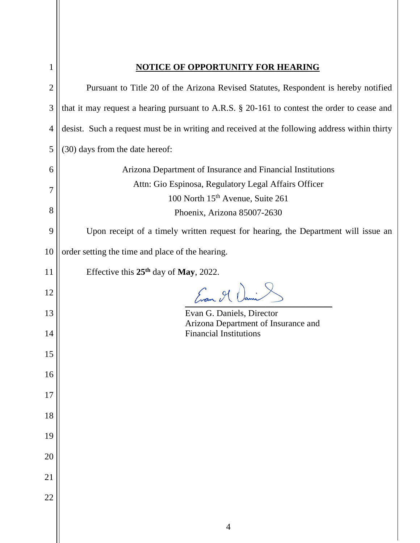|                | <b>NOTICE OF OPPORTUNITY FOR HEARING</b>                                                             |
|----------------|------------------------------------------------------------------------------------------------------|
| $\overline{2}$ | Pursuant to Title 20 of the Arizona Revised Statutes, Respondent is hereby notified                  |
| 3              | that it may request a hearing pursuant to A.R.S. § 20-161 to contest the order to cease and          |
| $\overline{4}$ | desist. Such a request must be in writing and received at the following address within thirty        |
| 5              | (30) days from the date hereof:                                                                      |
| 6              | Arizona Department of Insurance and Financial Institutions                                           |
| 7              | Attn: Gio Espinosa, Regulatory Legal Affairs Officer<br>100 North 15 <sup>th</sup> Avenue, Suite 261 |
| 8              | Phoenix, Arizona 85007-2630                                                                          |
| 9              | Upon receipt of a timely written request for hearing, the Department will issue an                   |
| 10             | order setting the time and place of the hearing.                                                     |
| 11             | Effective this $25th$ day of May, 2022.                                                              |
| 12             | Engen , 91 Dami                                                                                      |
| 13             | Evan G. Daniels, Director<br>Arizona Department of Insurance and                                     |
| 14             | <b>Financial Institutions</b>                                                                        |
| 15             |                                                                                                      |
| 16             |                                                                                                      |
| 17             |                                                                                                      |
| 18             |                                                                                                      |
| 19             |                                                                                                      |
| 20             |                                                                                                      |
| 21             |                                                                                                      |
| 22             |                                                                                                      |
|                | $\overline{4}$                                                                                       |
|                |                                                                                                      |